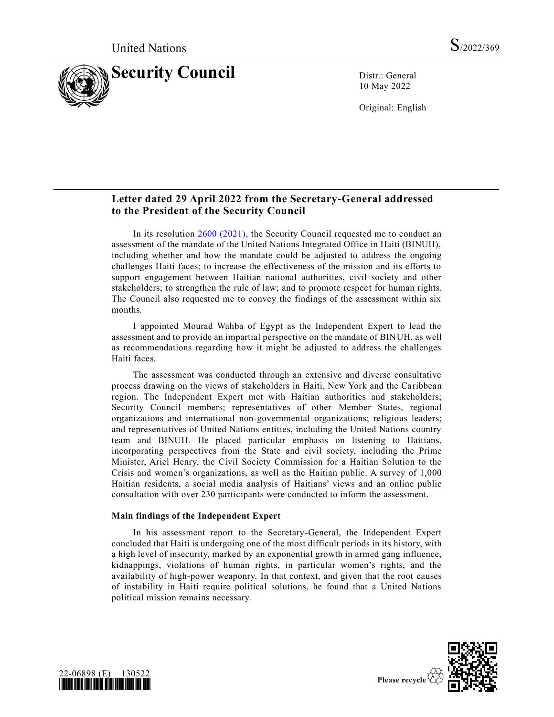

10 May 2022

Original: English

# **Letter dated 29 April 2022 from the Secretary-General addressed to the President of the Security Council**

In its resolution [2600 \(2021\),](https://undocs.org/en/S/RES/2600(2021)) the Security Council requested me to conduct an assessment of the mandate of the United Nations Integrated Office in Haiti (BINUH), including whether and how the mandate could be adjusted to address the ongoing challenges Haiti faces; to increase the effectiveness of the mission and its efforts to support engagement between Haitian national authorities, civil society and other stakeholders; to strengthen the rule of law; and to promote respect for human rights. The Council also requested me to convey the findings of the assessment within six months.

I appointed Mourad Wahba of Egypt as the Independent Expert to lead the assessment and to provide an impartial perspective on the mandate of BINUH, as well as recommendations regarding how it might be adjusted to address the challenges Haiti faces.

The assessment was conducted through an extensive and diverse consultative process drawing on the views of stakeholders in Haiti, New York and the Caribbean region. The Independent Expert met with Haitian authorities and stakeholders; Security Council members; representatives of other Member States, regional organizations and international non-governmental organizations; religious leaders; and representatives of United Nations entities, including the United Nations country team and BINUH. He placed particular emphasis on listening to Haitians, incorporating perspectives from the State and civil society, including the Prime Minister, Ariel Henry, the Civil Society Commission for a Haitian Solution to the Crisis and women's organizations, as well as the Haitian public. A survey of 1,000 Haitian residents, a social media analysis of Haitians' views and an online public consultation with over 230 participants were conducted to inform the assessment.

### **Main findings of the Independent Expert**

In his assessment report to the Secretary-General, the Independent Expert concluded that Haiti is undergoing one of the most difficult periods in its history, with a high level of insecurity, marked by an exponential growth in armed gang influence, kidnappings, violations of human rights, in particular women's rights, and the availability of high-power weaponry. In that context, and given that the root causes of instability in Haiti require political solutions, he found that a United Nations political mission remains necessary.



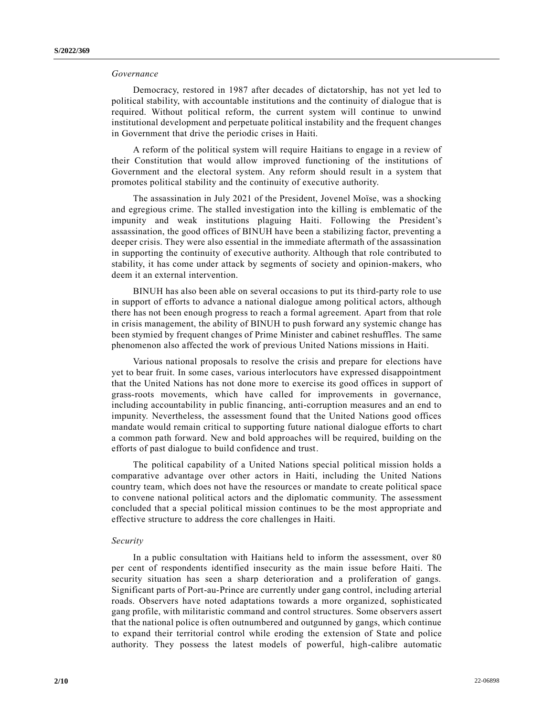### *Governance*

Democracy, restored in 1987 after decades of dictatorship, has not yet led to political stability, with accountable institutions and the continuity of dialogue that is required. Without political reform, the current system will continue to unwind institutional development and perpetuate political instability and the frequent changes in Government that drive the periodic crises in Haiti.

A reform of the political system will require Haitians to engage in a review of their Constitution that would allow improved functioning of the institutions of Government and the electoral system. Any reform should result in a system that promotes political stability and the continuity of executive authority.

The assassination in July 2021 of the President, Jovenel Moïse, was a shocking and egregious crime. The stalled investigation into the killing is emblematic of the impunity and weak institutions plaguing Haiti. Following the President's assassination, the good offices of BINUH have been a stabilizing factor, preventing a deeper crisis. They were also essential in the immediate aftermath of the assassination in supporting the continuity of executive authority. Although that role contributed to stability, it has come under attack by segments of society and opinion-makers, who deem it an external intervention.

BINUH has also been able on several occasions to put its third-party role to use in support of efforts to advance a national dialogue among political actors, although there has not been enough progress to reach a formal agreement. Apart from that role in crisis management, the ability of BINUH to push forward any systemic change has been stymied by frequent changes of Prime Minister and cabinet reshuffles. The same phenomenon also affected the work of previous United Nations missions in Haiti.

Various national proposals to resolve the crisis and prepare for elections have yet to bear fruit. In some cases, various interlocutors have expressed disappointment that the United Nations has not done more to exercise its good offices in support of grass-roots movements, which have called for improvements in governance, including accountability in public financing, anti-corruption measures and an end to impunity. Nevertheless, the assessment found that the United Nations good offices mandate would remain critical to supporting future national dialogue efforts to chart a common path forward. New and bold approaches will be required, building on the efforts of past dialogue to build confidence and trust.

The political capability of a United Nations special political mission holds a comparative advantage over other actors in Haiti, including the United Nations country team, which does not have the resources or mandate to create political space to convene national political actors and the diplomatic community. The assessment concluded that a special political mission continues to be the most appropriate and effective structure to address the core challenges in Haiti.

### *Security*

In a public consultation with Haitians held to inform the assessment, over 80 per cent of respondents identified insecurity as the main issue before Haiti. The security situation has seen a sharp deterioration and a proliferation of gangs. Significant parts of Port-au-Prince are currently under gang control, including arterial roads. Observers have noted adaptations towards a more organized, sophisticated gang profile, with militaristic command and control structures. Some observers assert that the national police is often outnumbered and outgunned by gangs, which continue to expand their territorial control while eroding the extension of State and police authority. They possess the latest models of powerful, high-calibre automatic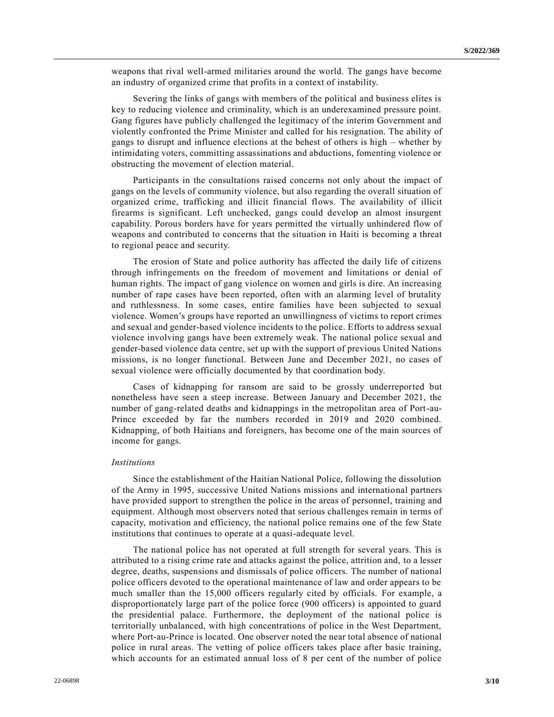weapons that rival well-armed militaries around the world. The gangs have become an industry of organized crime that profits in a context of instability.

Severing the links of gangs with members of the political and business elites is key to reducing violence and criminality, which is an underexamined pressure point. Gang figures have publicly challenged the legitimacy of the interim Government and violently confronted the Prime Minister and called for his resignation. The ability of gangs to disrupt and influence elections at the behest of others is high – whether by intimidating voters, committing assassinations and abductions, fomenting violence or obstructing the movement of election material.

Participants in the consultations raised concerns not only about the impact of gangs on the levels of community violence, but also regarding the overall situation of organized crime, trafficking and illicit financial flows. The availability of illicit firearms is significant. Left unchecked, gangs could develop an almost insurgent capability. Porous borders have for years permitted the virtually unhindered flow of weapons and contributed to concerns that the situation in Haiti is becoming a threat to regional peace and security.

The erosion of State and police authority has affected the daily life of citizens through infringements on the freedom of movement and limitations or denial of human rights. The impact of gang violence on women and girls is dire. An increasing number of rape cases have been reported, often with an alarming level of brutality and ruthlessness. In some cases, entire families have been subjected to sexual violence. Women's groups have reported an unwillingness of victims to report crimes and sexual and gender-based violence incidents to the police. Efforts to address sexual violence involving gangs have been extremely weak. The national police sexual and gender-based violence data centre, set up with the support of previous United Nations missions, is no longer functional. Between June and December 2021, no cases of sexual violence were officially documented by that coordination body.

Cases of kidnapping for ransom are said to be grossly underreported but nonetheless have seen a steep increase. Between January and December 2021, the number of gang-related deaths and kidnappings in the metropolitan area of Port-au-Prince exceeded by far the numbers recorded in 2019 and 2020 combined. Kidnapping, of both Haitians and foreigners, has become one of the main sources of income for gangs.

### *Institutions*

Since the establishment of the Haitian National Police, following the dissolution of the Army in 1995, successive United Nations missions and international partners have provided support to strengthen the police in the areas of personnel, training and equipment. Although most observers noted that serious challenges remain in terms of capacity, motivation and efficiency, the national police remains one of the few State institutions that continues to operate at a quasi-adequate level.

The national police has not operated at full strength for several years. This is attributed to a rising crime rate and attacks against the police, attrition and, to a lesser degree, deaths, suspensions and dismissals of police officers. The number of national police officers devoted to the operational maintenance of law and order appears to be much smaller than the 15,000 officers regularly cited by officials. For example, a disproportionately large part of the police force (900 officers) is appointed to guard the presidential palace. Furthermore, the deployment of the national police is territorially unbalanced, with high concentrations of police in the West Department, where Port-au-Prince is located. One observer noted the near total absence of national police in rural areas. The vetting of police officers takes place after basic training, which accounts for an estimated annual loss of 8 per cent of the number of police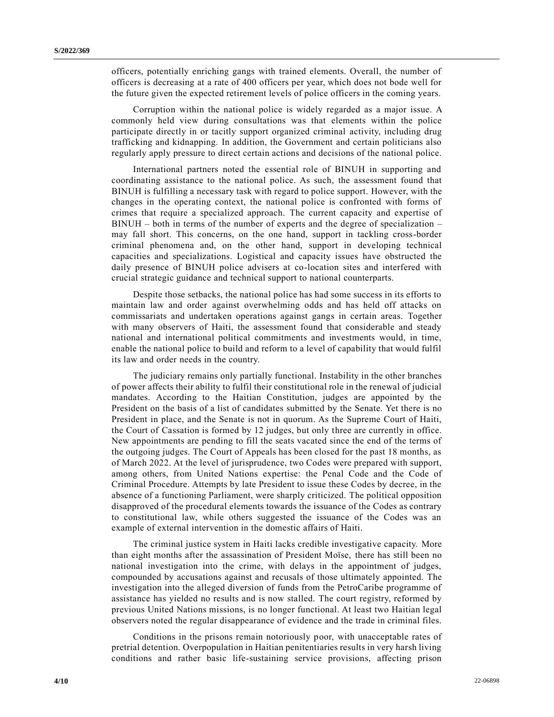officers, potentially enriching gangs with trained elements. Overall, the number of officers is decreasing at a rate of 400 officers per year, which does not bode well for the future given the expected retirement levels of police officers in the coming years.

Corruption within the national police is widely regarded as a major issue. A commonly held view during consultations was that elements within the police participate directly in or tacitly support organized criminal activity, including drug trafficking and kidnapping. In addition, the Government and certain politicians also regularly apply pressure to direct certain actions and decisions of the national police.

International partners noted the essential role of BINUH in supporting and coordinating assistance to the national police. As such, the assessment found that BINUH is fulfilling a necessary task with regard to police support. However, with the changes in the operating context, the national police is confronted with forms of crimes that require a specialized approach. The current capacity and expertise of BINUH – both in terms of the number of experts and the degree of specialization – may fall short. This concerns, on the one hand, support in tackling cross-border criminal phenomena and, on the other hand, support in developing technical capacities and specializations. Logistical and capacity issues have obstructed the daily presence of BINUH police advisers at co-location sites and interfered with crucial strategic guidance and technical support to national counterparts.

Despite those setbacks, the national police has had some success in its efforts to maintain law and order against overwhelming odds and has held off attacks on commissariats and undertaken operations against gangs in certain areas. Together with many observers of Haiti, the assessment found that considerable and steady national and international political commitments and investments would, in time, enable the national police to build and reform to a level of capability that would fulfil its law and order needs in the country.

The judiciary remains only partially functional. Instability in the other branches of power affects their ability to fulfil their constitutional role in the renewal of judicial mandates. According to the Haitian Constitution, judges are appointed by the President on the basis of a list of candidates submitted by the Senate. Yet there is no President in place, and the Senate is not in quorum. As the Supreme Court of Haiti, the Court of Cassation is formed by 12 judges, but only three are currently in office. New appointments are pending to fill the seats vacated since the end of the terms of the outgoing judges. The Court of Appeals has been closed for the past 18 months, as of March 2022. At the level of jurisprudence, two Codes were prepared with support, among others, from United Nations expertise: the Penal Code and the Code of Criminal Procedure. Attempts by late President to issue these Codes by decree, in the absence of a functioning Parliament, were sharply criticized. The political opposition disapproved of the procedural elements towards the issuance of the Codes as contrary to constitutional law, while others suggested the issuance of the Codes was an example of external intervention in the domestic affairs of Haiti.

The criminal justice system in Haiti lacks credible investigative capacity. More than eight months after the assassination of President Moïse, there has still been no national investigation into the crime, with delays in the appointment of judges, compounded by accusations against and recusals of those ultimately appointed. The investigation into the alleged diversion of funds from the PetroCaribe programme of assistance has yielded no results and is now stalled. The court registry, reformed by previous United Nations missions, is no longer functional. At least two Haitian legal observers noted the regular disappearance of evidence and the trade in criminal files.

Conditions in the prisons remain notoriously poor, with unacceptable rates of pretrial detention. Overpopulation in Haitian penitentiaries results in very harsh living conditions and rather basic life-sustaining service provisions, affecting prison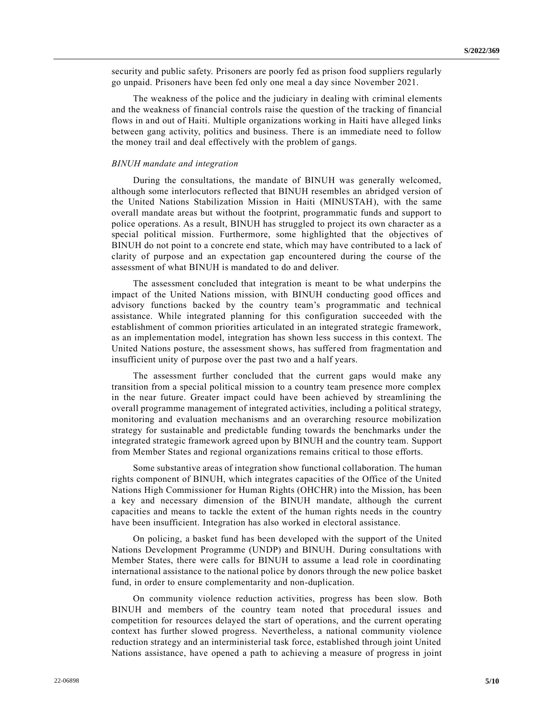security and public safety. Prisoners are poorly fed as prison food suppliers regularly go unpaid. Prisoners have been fed only one meal a day since November 2021.

The weakness of the police and the judiciary in dealing with criminal elements and the weakness of financial controls raise the question of the tracking of financial flows in and out of Haiti. Multiple organizations working in Haiti have alleged links between gang activity, politics and business. There is an immediate need to follow the money trail and deal effectively with the problem of gangs.

#### *BINUH mandate and integration*

During the consultations, the mandate of BINUH was generally welcomed, although some interlocutors reflected that BINUH resembles an abridged version of the United Nations Stabilization Mission in Haiti (MINUSTAH), with the same overall mandate areas but without the footprint, programmatic funds and support to police operations. As a result, BINUH has struggled to project its own character as a special political mission. Furthermore, some highlighted that the objectives of BINUH do not point to a concrete end state, which may have contributed to a lack of clarity of purpose and an expectation gap encountered during the course of the assessment of what BINUH is mandated to do and deliver.

The assessment concluded that integration is meant to be what underpins the impact of the United Nations mission, with BINUH conducting good offices and advisory functions backed by the country team's programmatic and technical assistance. While integrated planning for this configuration succeeded with the establishment of common priorities articulated in an integrated strategic framework, as an implementation model, integration has shown less success in this context. The United Nations posture, the assessment shows, has suffered from fragmentation and insufficient unity of purpose over the past two and a half years.

The assessment further concluded that the current gaps would make any transition from a special political mission to a country team presence more complex in the near future. Greater impact could have been achieved by streamlining the overall programme management of integrated activities, including a political strategy, monitoring and evaluation mechanisms and an overarching resource mobilization strategy for sustainable and predictable funding towards the benchmarks under the integrated strategic framework agreed upon by BINUH and the country team. Support from Member States and regional organizations remains critical to those efforts.

Some substantive areas of integration show functional collaboration. The human rights component of BINUH, which integrates capacities of the Office of the United Nations High Commissioner for Human Rights (OHCHR) into the Mission, has been a key and necessary dimension of the BINUH mandate, although the current capacities and means to tackle the extent of the human rights needs in the country have been insufficient. Integration has also worked in electoral assistance.

On policing, a basket fund has been developed with the support of the United Nations Development Programme (UNDP) and BINUH. During consultations with Member States, there were calls for BINUH to assume a lead role in coordinating international assistance to the national police by donors through the new police basket fund, in order to ensure complementarity and non-duplication.

On community violence reduction activities, progress has been slow. Both BINUH and members of the country team noted that procedural issues and competition for resources delayed the start of operations, and the current operating context has further slowed progress. Nevertheless, a national community violence reduction strategy and an interministerial task force, established through joint United Nations assistance, have opened a path to achieving a measure of progress in joint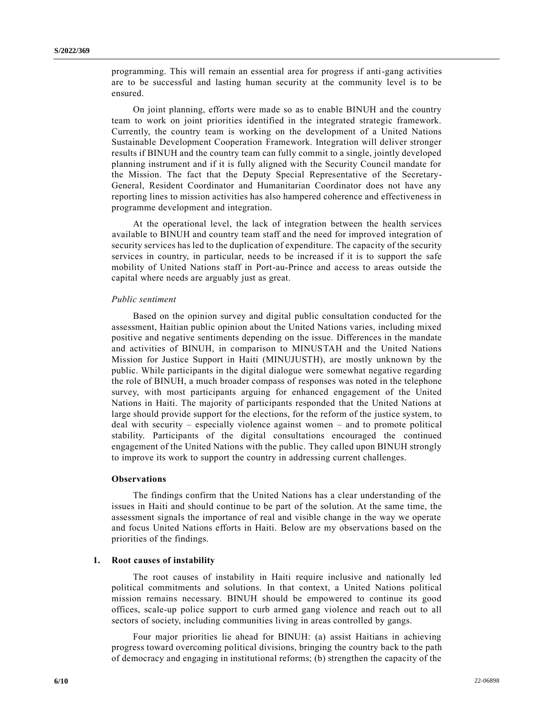programming. This will remain an essential area for progress if anti-gang activities are to be successful and lasting human security at the community level is to be ensured.

On joint planning, efforts were made so as to enable BINUH and the country team to work on joint priorities identified in the integrated strategic framework. Currently, the country team is working on the development of a United Nations Sustainable Development Cooperation Framework. Integration will deliver stronger results if BINUH and the country team can fully commit to a single, jointly developed planning instrument and if it is fully aligned with the Security Council mandate for the Mission. The fact that the Deputy Special Representative of the Secretary-General, Resident Coordinator and Humanitarian Coordinator does not have any reporting lines to mission activities has also hampered coherence and effectiveness in programme development and integration.

At the operational level, the lack of integration between the health services available to BINUH and country team staff and the need for improved integration of security services has led to the duplication of expenditure. The capacity of the security services in country, in particular, needs to be increased if it is to support the safe mobility of United Nations staff in Port-au-Prince and access to areas outside the capital where needs are arguably just as great.

#### *Public sentiment*

Based on the opinion survey and digital public consultation conducted for the assessment, Haitian public opinion about the United Nations varies, including mixed positive and negative sentiments depending on the issue. Differences in the mandate and activities of BINUH, in comparison to MINUSTAH and the United Nations Mission for Justice Support in Haiti (MINUJUSTH), are mostly unknown by the public. While participants in the digital dialogue were somewhat negative regarding the role of BINUH, a much broader compass of responses was noted in the telephone survey, with most participants arguing for enhanced engagement of the United Nations in Haiti. The majority of participants responded that the United Nations at large should provide support for the elections, for the reform of the justice system, to deal with security – especially violence against women – and to promote political stability. Participants of the digital consultations encouraged the continued engagement of the United Nations with the public. They called upon BINUH strongly to improve its work to support the country in addressing current challenges.

#### **Observations**

The findings confirm that the United Nations has a clear understanding of the issues in Haiti and should continue to be part of the solution. At the same time, the assessment signals the importance of real and visible change in the way we operate and focus United Nations efforts in Haiti. Below are my observations based on the priorities of the findings.

#### **1. Root causes of instability**

The root causes of instability in Haiti require inclusive and nationally led political commitments and solutions. In that context, a United Nations political mission remains necessary. BINUH should be empowered to continue its good offices, scale-up police support to curb armed gang violence and reach out to all sectors of society, including communities living in areas controlled by gangs.

Four major priorities lie ahead for BINUH: (a) assist Haitians in achieving progress toward overcoming political divisions, bringing the country back to the path of democracy and engaging in institutional reforms; (b) strengthen the capacity of the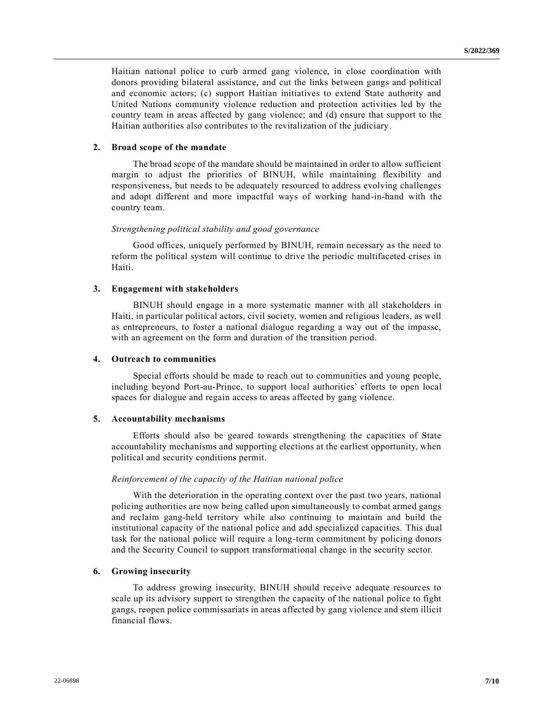Haitian national police to curb armed gang violence, in close coordination with donors providing bilateral assistance, and cut the links between gangs and political and economic actors; (c) support Haitian initiatives to extend State authority and United Nations community violence reduction and protection activities led by the country team in areas affected by gang violence; and (d) ensure that support to the Haitian authorities also contributes to the revitalization of the judiciary.

### **2. Broad scope of the mandate**

The broad scope of the mandate should be maintained in order to allow sufficient margin to adjust the priorities of BINUH, while maintaining flexibility and responsiveness, but needs to be adequately resourced to address evolving challenges and adopt different and more impactful ways of working hand-in-hand with the country team.

### *Strengthening political stability and good governance*

Good offices, uniquely performed by BINUH, remain necessary as the need to reform the political system will continue to drive the periodic multifaceted crises in Haiti.

### **3. Engagement with stakeholders**

BINUH should engage in a more systematic manner with all stakeholders in Haiti, in particular political actors, civil society, women and religious leaders, as well as entrepreneurs, to foster a national dialogue regarding a way out of the impasse, with an agreement on the form and duration of the transition period.

#### **4. Outreach to communities**

Special efforts should be made to reach out to communities and young people, including beyond Port-au-Prince, to support local authorities' efforts to open local spaces for dialogue and regain access to areas affected by gang violence.

#### **5. Accountability mechanisms**

Efforts should also be geared towards strengthening the capacities of State accountability mechanisms and supporting elections at the earliest opportunity, when political and security conditions permit.

### *Reinforcement of the capacity of the Haitian national police*

With the deterioration in the operating context over the past two years, national policing authorities are now being called upon simultaneously to combat armed gangs and reclaim gang-held territory while also continuing to maintain and build the institutional capacity of the national police and add specialized capacities. This dual task for the national police will require a long-term commitment by policing donors and the Security Council to support transformational change in the security sector.

### **6. Growing insecurity**

To address growing insecurity, BINUH should receive adequate resources to scale up its advisory support to strengthen the capacity of the national police to fight gangs, reopen police commissariats in areas affected by gang violence and stem illicit financial flows.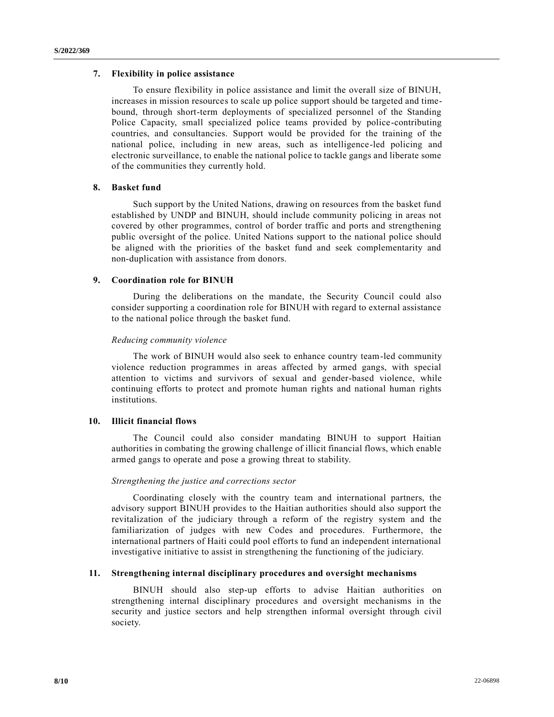### **7. Flexibility in police assistance**

To ensure flexibility in police assistance and limit the overall size of BINUH, increases in mission resources to scale up police support should be targeted and timebound, through short-term deployments of specialized personnel of the Standing Police Capacity, small specialized police teams provided by police-contributing countries, and consultancies. Support would be provided for the training of the national police, including in new areas, such as intelligence-led policing and electronic surveillance, to enable the national police to tackle gangs and liberate some of the communities they currently hold.

### **8. Basket fund**

Such support by the United Nations, drawing on resources from the basket fund established by UNDP and BINUH, should include community policing in areas not covered by other programmes, control of border traffic and ports and strengthening public oversight of the police. United Nations support to the national police should be aligned with the priorities of the basket fund and seek complementarity and non-duplication with assistance from donors.

# **9. Coordination role for BINUH**

During the deliberations on the mandate, the Security Council could also consider supporting a coordination role for BINUH with regard to external assistance to the national police through the basket fund.

### *Reducing community violence*

The work of BINUH would also seek to enhance country team-led community violence reduction programmes in areas affected by armed gangs, with special attention to victims and survivors of sexual and gender-based violence, while continuing efforts to protect and promote human rights and national human rights institutions.

## **10. Illicit financial flows**

The Council could also consider mandating BINUH to support Haitian authorities in combating the growing challenge of illicit financial flows, which enable armed gangs to operate and pose a growing threat to stability.

### *Strengthening the justice and corrections sector*

Coordinating closely with the country team and international partners, the advisory support BINUH provides to the Haitian authorities should also support the revitalization of the judiciary through a reform of the registry system and the familiarization of judges with new Codes and procedures. Furthermore, the international partners of Haiti could pool efforts to fund an independent international investigative initiative to assist in strengthening the functioning of the judiciary.

# **11. Strengthening internal disciplinary procedures and oversight mechanisms**

BINUH should also step-up efforts to advise Haitian authorities on strengthening internal disciplinary procedures and oversight mechanisms in the security and justice sectors and help strengthen informal oversight through civil society.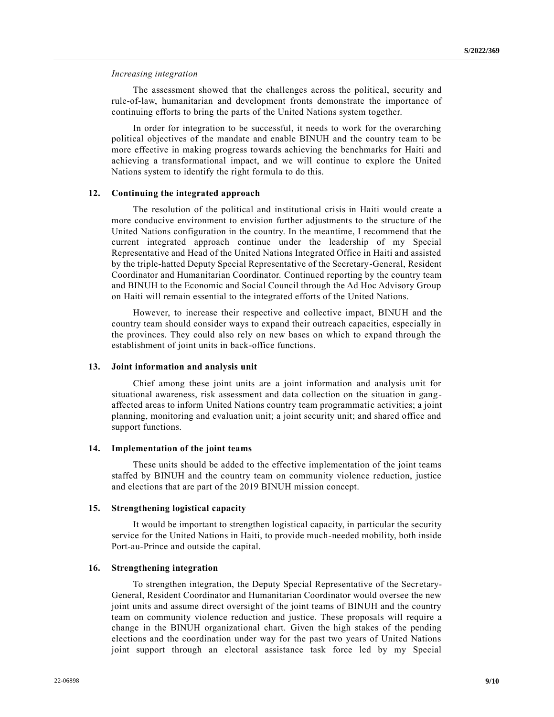*Increasing integration*

The assessment showed that the challenges across the political, security and rule-of-law, humanitarian and development fronts demonstrate the importance of continuing efforts to bring the parts of the United Nations system together.

In order for integration to be successful, it needs to work for the overarching political objectives of the mandate and enable BINUH and the country team to be more effective in making progress towards achieving the benchmarks for Haiti and achieving a transformational impact, and we will continue to explore the United Nations system to identify the right formula to do this.

### **12. Continuing the integrated approach**

The resolution of the political and institutional crisis in Haiti would create a more conducive environment to envision further adjustments to the structure of the United Nations configuration in the country. In the meantime, I recommend that the current integrated approach continue under the leadership of my Special Representative and Head of the United Nations Integrated Office in Haiti and assisted by the triple-hatted Deputy Special Representative of the Secretary-General, Resident Coordinator and Humanitarian Coordinator. Continued reporting by the country team and BINUH to the Economic and Social Council through the Ad Hoc Advisory Group on Haiti will remain essential to the integrated efforts of the United Nations.

However, to increase their respective and collective impact, BINUH and the country team should consider ways to expand their outreach capacities, especially in the provinces. They could also rely on new bases on which to expand through the establishment of joint units in back-office functions.

#### **13. Joint information and analysis unit**

Chief among these joint units are a joint information and analysis unit for situational awareness, risk assessment and data collection on the situation in gangaffected areas to inform United Nations country team programmatic activities; a joint planning, monitoring and evaluation unit; a joint security unit; and shared office and support functions.

#### **14. Implementation of the joint teams**

These units should be added to the effective implementation of the joint teams staffed by BINUH and the country team on community violence reduction, justice and elections that are part of the 2019 BINUH mission concept.

### **15. Strengthening logistical capacity**

It would be important to strengthen logistical capacity, in particular the security service for the United Nations in Haiti, to provide much-needed mobility, both inside Port-au-Prince and outside the capital.

### **16. Strengthening integration**

To strengthen integration, the Deputy Special Representative of the Secretary-General, Resident Coordinator and Humanitarian Coordinator would oversee the new joint units and assume direct oversight of the joint teams of BINUH and the country team on community violence reduction and justice. These proposals will require a change in the BINUH organizational chart. Given the high stakes of the pending elections and the coordination under way for the past two years of United Nations joint support through an electoral assistance task force led by my Special